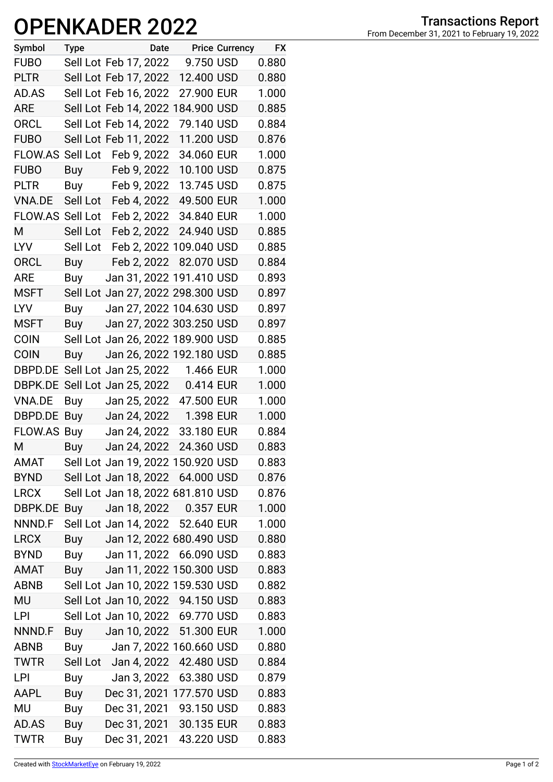## OPENKADER 2022 From December 31, 2021 to February 19, 2022

| Symbol           | <b>Type</b>           |                       | Date |                                   | <b>Price Currency</b> | <b>FX</b> |
|------------------|-----------------------|-----------------------|------|-----------------------------------|-----------------------|-----------|
| <b>FUBO</b>      |                       | Sell Lot Feb 17, 2022 |      | 9.750 USD                         |                       | 0.880     |
| <b>PLTR</b>      |                       | Sell Lot Feb 17, 2022 |      | 12.400 USD                        |                       | 0.880     |
| AD.AS            |                       | Sell Lot Feb 16, 2022 |      | 27.900 EUR                        |                       | 1.000     |
| <b>ARE</b>       |                       |                       |      | Sell Lot Feb 14, 2022 184.900 USD |                       | 0.885     |
| ORCL             |                       | Sell Lot Feb 14, 2022 |      | 79.140 USD                        |                       | 0.884     |
| <b>FUBO</b>      |                       | Sell Lot Feb 11, 2022 |      | 11.200 USD                        |                       | 0.876     |
| <b>FLOW.AS</b>   | Sell Lot              | Feb 9, 2022           |      | 34.060 EUR                        |                       | 1.000     |
| <b>FUBO</b>      | <b>Buy</b>            | Feb 9, 2022           |      | 10.100 USD                        |                       | 0.875     |
| <b>PLTR</b>      | Buy                   | Feb 9, 2022           |      | 13.745 USD                        |                       | 0.875     |
| <b>VNA.DE</b>    | Sell Lot              | Feb 4, 2022           |      | 49.500 EUR                        |                       | 1.000     |
| FLOW.AS Sell Lot |                       | Feb 2, 2022           |      | 34.840 EUR                        |                       | 1.000     |
| M                | Sell Lot              | Feb 2, 2022           |      | 24.940 USD                        |                       | 0.885     |
| <b>LYV</b>       | Sell Lot              |                       |      | Feb 2, 2022 109.040 USD           |                       | 0.885     |
| <b>ORCL</b>      | Buy                   |                       |      | Feb 2, 2022 82.070 USD            |                       | 0.884     |
| <b>ARE</b>       | Buy                   |                       |      | Jan 31, 2022 191.410 USD          |                       | 0.893     |
| <b>MSFT</b>      |                       |                       |      | Sell Lot Jan 27, 2022 298.300 USD |                       | 0.897     |
| <b>LYV</b>       | Buy                   |                       |      | Jan 27, 2022 104.630 USD          |                       | 0.897     |
| <b>MSFT</b>      | Buy                   |                       |      | Jan 27, 2022 303.250 USD          |                       | 0.897     |
| <b>COIN</b>      |                       |                       |      | Sell Lot Jan 26, 2022 189.900 USD |                       | 0.885     |
| <b>COIN</b>      | Buy                   |                       |      | Jan 26, 2022 192.180 USD          |                       | 0.885     |
| DBPD.DE          | Sell Lot Jan 25, 2022 |                       |      | 1.466 EUR                         |                       | 1.000     |
| DBPK.DE          | Sell Lot Jan 25, 2022 |                       |      | 0.414 EUR                         |                       | 1.000     |
| <b>VNA.DE</b>    | Buy                   | Jan 25, 2022          |      | 47.500 EUR                        |                       | 1.000     |
| DBPD.DE          | Buy                   | Jan 24, 2022          |      | 1.398 EUR                         |                       | 1.000     |
| <b>FLOW.AS</b>   | Buy                   | Jan 24, 2022          |      | 33.180 EUR                        |                       | 0.884     |
| M                | <b>Buy</b>            | Jan 24, 2022          |      | 24.360 USD                        |                       | 0.883     |
| <b>AMAT</b>      |                       |                       |      | Sell Lot Jan 19, 2022 150.920 USD |                       | 0.883     |
| <b>BYND</b>      |                       |                       |      | Sell Lot Jan 18, 2022 64.000 USD  |                       | 0.876     |
| <b>LRCX</b>      |                       |                       |      | Sell Lot Jan 18, 2022 681.810 USD |                       | 0.876     |
| DBPK.DE          | Buy                   |                       |      | Jan 18, 2022  0.357 EUR           |                       | 1.000     |
| NNND.F           |                       |                       |      | Sell Lot Jan 14, 2022 52.640 EUR  |                       | 1.000     |
| <b>LRCX</b>      |                       |                       |      | Buy Jan 12, 2022 680.490 USD      |                       | 0.880     |
| <b>BYND</b>      |                       |                       |      | Buy Jan 11, 2022 66.090 USD       |                       | 0.883     |
| AMAT             | Buy                   |                       |      | Jan 11, 2022 150.300 USD          |                       | 0.883     |
| <b>ABNB</b>      |                       |                       |      | Sell Lot Jan 10, 2022 159.530 USD |                       | 0.882     |
| MU               |                       |                       |      | Sell Lot Jan 10, 2022 94.150 USD  |                       | 0.883     |
| <b>LPI</b>       |                       |                       |      | Sell Lot Jan 10, 2022 69.770 USD  |                       | 0.883     |
| NNND.F           | Buy                   |                       |      | Jan 10, 2022 51.300 EUR           |                       | 1.000     |
| <b>ABNB</b>      | Buy                   |                       |      | Jan 7, 2022 160.660 USD           |                       | 0.880     |
| <b>TWTR</b>      |                       | Sell Lot Jan 4, 2022  |      | 42.480 USD                        |                       | 0.884     |
| LPI              | Buy                   | Jan 3, 2022           |      | 63.380 USD                        |                       | 0.879     |
| AAPL             | Buy                   |                       |      | Dec 31, 2021 177.570 USD          |                       | 0.883     |
| <b>MU</b>        | Buy                   |                       |      | Dec 31, 2021 93.150 USD           |                       | 0.883     |
| AD.AS            | Buy                   |                       |      | Dec 31, 2021 30.135 EUR           |                       | 0.883     |
| <b>TWTR</b>      | <b>Buy</b>            | Dec 31, 2021          |      | 43.220 USD                        |                       | 0.883     |